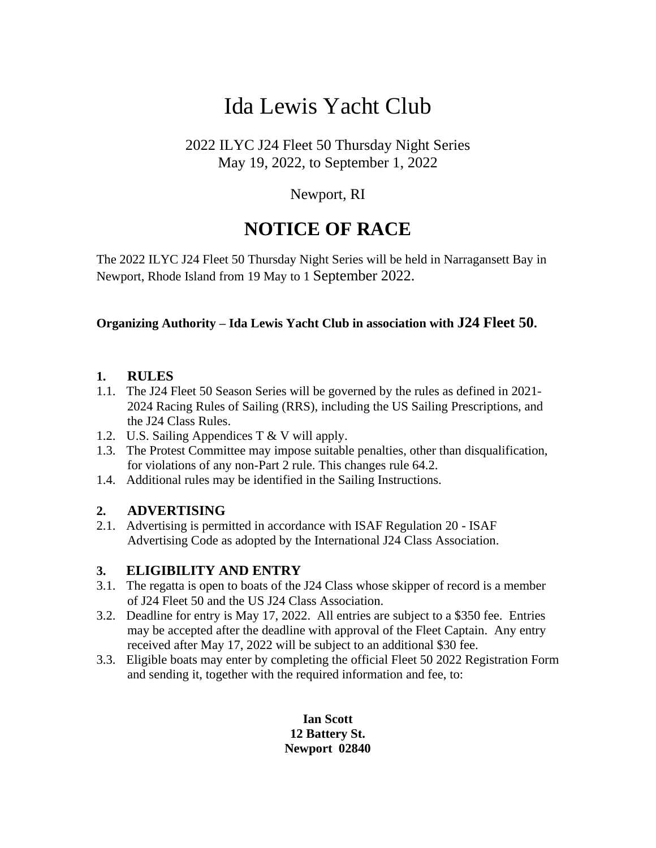# Ida Lewis Yacht Club

# 2022 ILYC J24 Fleet 50 Thursday Night Series May 19, 2022, to September 1, 2022

# Newport, RI

# **NOTICE OF RACE**

The 2022 ILYC J24 Fleet 50 Thursday Night Series will be held in Narragansett Bay in Newport, Rhode Island from 19 May to 1 September 2022.

#### **Organizing Authority – Ida Lewis Yacht Club in association with J24 Fleet 50.**

#### **1. RULES**

- 1.1. The J24 Fleet 50 Season Series will be governed by the rules as defined in 2021- 2024 Racing Rules of Sailing (RRS), including the US Sailing Prescriptions, and the J24 Class Rules.
- 1.2. U.S. Sailing Appendices T & V will apply.
- 1.3. The Protest Committee may impose suitable penalties, other than disqualification, for violations of any non-Part 2 rule. This changes rule 64.2.
- 1.4. Additional rules may be identified in the Sailing Instructions.

#### **2. ADVERTISING**

2.1. Advertising is permitted in accordance with ISAF Regulation 20 - ISAF Advertising Code as adopted by the International J24 Class Association.

#### **3. ELIGIBILITY AND ENTRY**

- 3.1. The regatta is open to boats of the J24 Class whose skipper of record is a member of J24 Fleet 50 and the US J24 Class Association.
- 3.2. Deadline for entry is May 17, 2022. All entries are subject to a \$350 fee. Entries may be accepted after the deadline with approval of the Fleet Captain. Any entry received after May 17, 2022 will be subject to an additional \$30 fee.
- 3.3. Eligible boats may enter by completing the official Fleet 50 2022 Registration Form and sending it, together with the required information and fee, to:

**Ian Scott 12 Battery St. Newport 02840**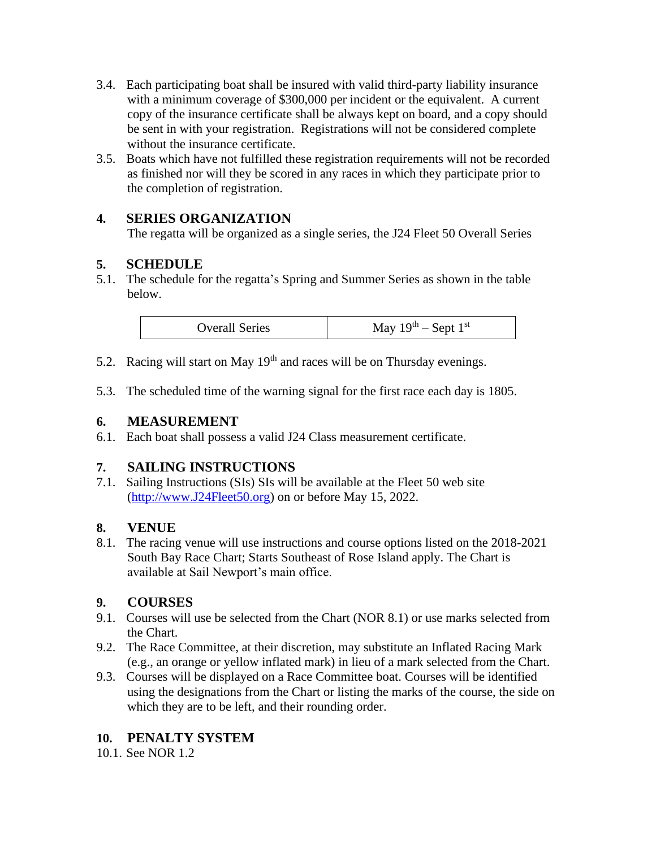- 3.4. Each participating boat shall be insured with valid third-party liability insurance with a minimum coverage of \$300,000 per incident or the equivalent. A current copy of the insurance certificate shall be always kept on board, and a copy should be sent in with your registration. Registrations will not be considered complete without the insurance certificate.
- 3.5. Boats which have not fulfilled these registration requirements will not be recorded as finished nor will they be scored in any races in which they participate prior to the completion of registration.

# **4. SERIES ORGANIZATION**

The regatta will be organized as a single series, the J24 Fleet 50 Overall Series

## **5. SCHEDULE**

5.1. The schedule for the regatta's Spring and Summer Series as shown in the table below.

| <b>Overall Series</b> | May $19th$ – Sept $1st$ |
|-----------------------|-------------------------|
|-----------------------|-------------------------|

- 5.2. Racing will start on May  $19<sup>th</sup>$  and races will be on Thursday evenings.
- 5.3. The scheduled time of the warning signal for the first race each day is 1805.

#### **6. MEASUREMENT**

6.1. Each boat shall possess a valid J24 Class measurement certificate.

#### **7. SAILING INSTRUCTIONS**

7.1. Sailing Instructions (SIs) SIs will be available at the Fleet 50 web site [\(http://www.J24Fleet50.org\)](about:blank) on or before May 15, 2022.

#### **8. VENUE**

8.1. The racing venue will use instructions and course options listed on the 2018-2021 South Bay Race Chart; Starts Southeast of Rose Island apply. The Chart is available at Sail Newport's main office.

# **9. COURSES**

- 9.1. Courses will use be selected from the Chart (NOR 8.1) or use marks selected from the Chart.
- 9.2. The Race Committee, at their discretion, may substitute an Inflated Racing Mark (e.g., an orange or yellow inflated mark) in lieu of a mark selected from the Chart.
- 9.3. Courses will be displayed on a Race Committee boat. Courses will be identified using the designations from the Chart or listing the marks of the course, the side on which they are to be left, and their rounding order.

# **10. PENALTY SYSTEM**

10.1. See NOR 1.2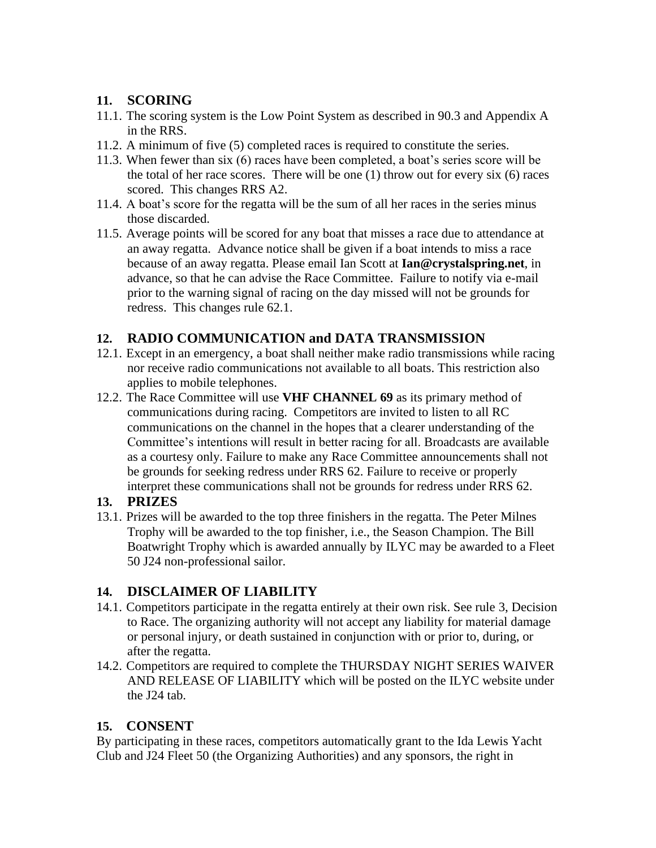#### **11. SCORING**

- 11.1. The scoring system is the Low Point System as described in 90.3 and Appendix A in the RRS.
- 11.2. A minimum of five (5) completed races is required to constitute the series.
- 11.3. When fewer than six (6) races have been completed, a boat's series score will be the total of her race scores. There will be one (1) throw out for every six (6) races scored. This changes RRS A2.
- 11.4. A boat's score for the regatta will be the sum of all her races in the series minus those discarded.
- 11.5. Average points will be scored for any boat that misses a race due to attendance at an away regatta. Advance notice shall be given if a boat intends to miss a race because of an away regatta. Please email Ian Scott at **Ian@crystalspring.net**, in advance, so that he can advise the Race Committee. Failure to notify via e-mail prior to the warning signal of racing on the day missed will not be grounds for redress. This changes rule 62.1.

## **12. RADIO COMMUNICATION and DATA TRANSMISSION**

- 12.1. Except in an emergency, a boat shall neither make radio transmissions while racing nor receive radio communications not available to all boats. This restriction also applies to mobile telephones.
- 12.2. The Race Committee will use **VHF CHANNEL 69** as its primary method of communications during racing. Competitors are invited to listen to all RC communications on the channel in the hopes that a clearer understanding of the Committee's intentions will result in better racing for all. Broadcasts are available as a courtesy only. Failure to make any Race Committee announcements shall not be grounds for seeking redress under RRS 62. Failure to receive or properly interpret these communications shall not be grounds for redress under RRS 62.

#### **13. PRIZES**

13.1. Prizes will be awarded to the top three finishers in the regatta. The Peter Milnes Trophy will be awarded to the top finisher, i.e., the Season Champion. The Bill Boatwright Trophy which is awarded annually by ILYC may be awarded to a Fleet 50 J24 non-professional sailor.

# **14. DISCLAIMER OF LIABILITY**

- 14.1. Competitors participate in the regatta entirely at their own risk. See rule 3, Decision to Race. The organizing authority will not accept any liability for material damage or personal injury, or death sustained in conjunction with or prior to, during, or after the regatta.
- 14.2. Competitors are required to complete the THURSDAY NIGHT SERIES WAIVER AND RELEASE OF LIABILITY which will be posted on the ILYC website under the J24 tab.

#### **15. CONSENT**

By participating in these races, competitors automatically grant to the Ida Lewis Yacht Club and J24 Fleet 50 (the Organizing Authorities) and any sponsors, the right in